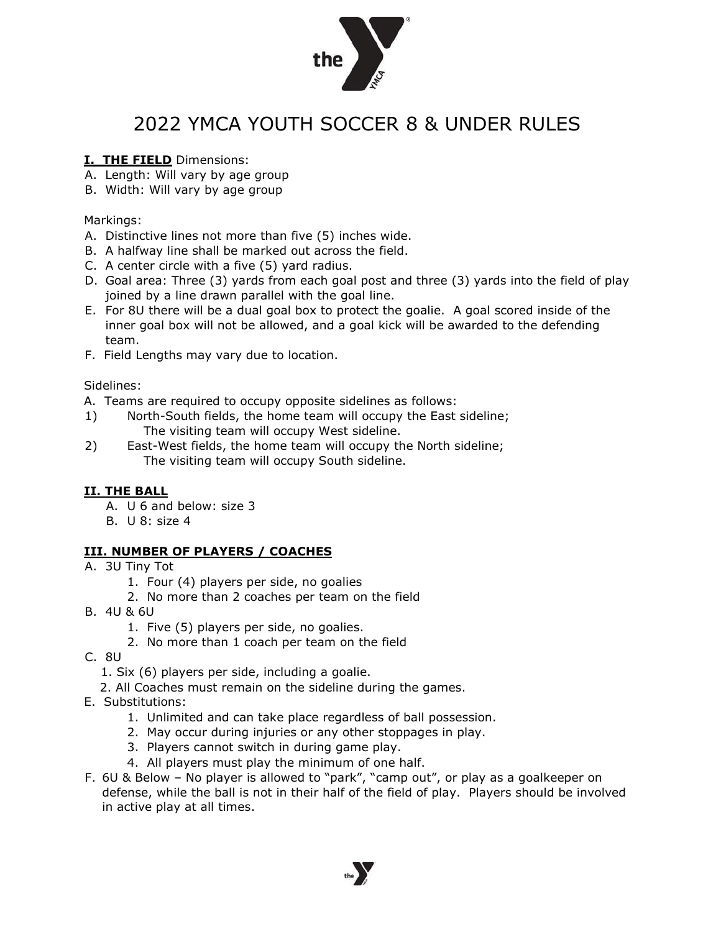

# 2022 YMCA YOUTH SOCCER 8 & UNDER RULES

## **I. THE FIELD** Dimensions:

- A. Length: Will vary by age group
- B. Width: Will vary by age group

#### Markings:

- A. Distinctive lines not more than five (5) inches wide.
- B. A halfway line shall be marked out across the field.
- C. A center circle with a five (5) yard radius.
- D. Goal area: Three (3) yards from each goal post and three (3) yards into the field of play joined by a line drawn parallel with the goal line.
- E. For 8U there will be a dual goal box to protect the goalie. A goal scored inside of the inner goal box will not be allowed, and a goal kick will be awarded to the defending team.
- F. Field Lengths may vary due to location.

#### Sidelines:

- A. Teams are required to occupy opposite sidelines as follows:
- 1) North-South fields, the home team will occupy the East sideline; The visiting team will occupy West sideline.
- 2) East-West fields, the home team will occupy the North sideline; The visiting team will occupy South sideline.

## **II. THE BALL**

- A. U 6 and below: size 3
- B. U 8: size 4

## **III. NUMBER OF PLAYERS / COACHES**

- A. 3U Tiny Tot
	- 1. Four (4) players per side, no goalies
	- 2. No more than 2 coaches per team on the field
- B. 4U & 6U
	- 1. Five (5) players per side, no goalies.
	- 2. No more than 1 coach per team on the field
- C. 8U
	- 1. Six (6) players per side, including a goalie.
	- 2. All Coaches must remain on the sideline during the games.
- E. Substitutions:
	- 1. Unlimited and can take place regardless of ball possession.
	- 2. May occur during injuries or any other stoppages in play.
	- 3. Players cannot switch in during game play.
	- 4. All players must play the minimum of one half.
- F. 6U & Below No player is allowed to "park", "camp out", or play as a goalkeeper on defense, while the ball is not in their half of the field of play. Players should be involved in active play at all times.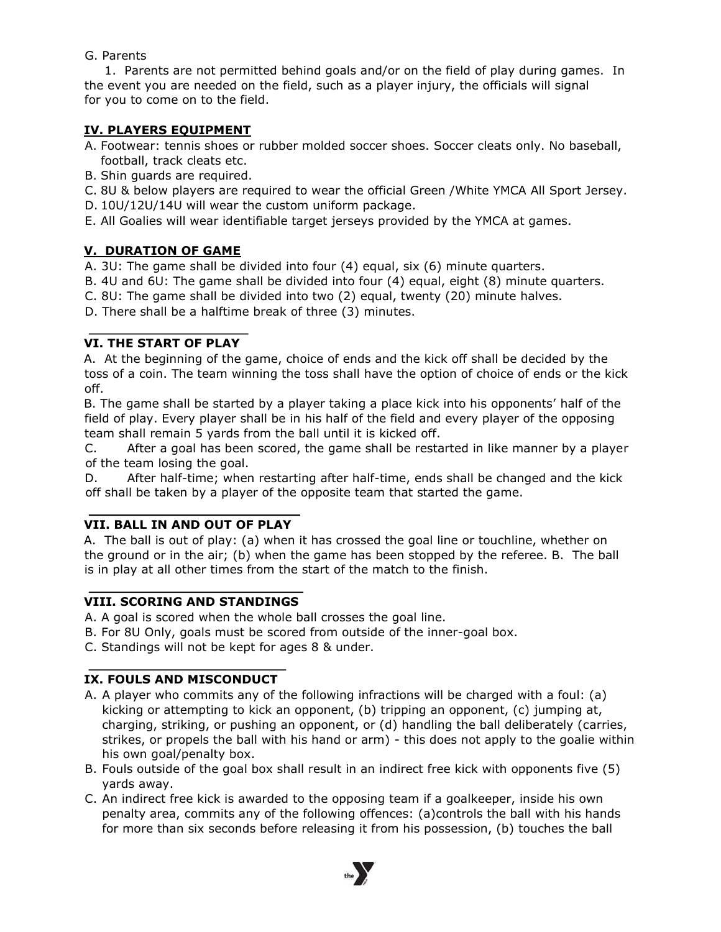G. Parents

1. Parents are not permitted behind goals and/or on the field of play during games. In the event you are needed on the field, such as a player injury, the officials will signal for you to come on to the field.

## **IV. PLAYERS EQUIPMENT**

- A. Footwear: tennis shoes or rubber molded soccer shoes. Soccer cleats only. No baseball, football, track cleats etc.
- B. Shin guards are required.
- C. 8U & below players are required to wear the official Green /White YMCA All Sport Jersey.
- D. 10U/12U/14U will wear the custom uniform package.
- E. All Goalies will wear identifiable target jerseys provided by the YMCA at games.

## **V. DURATION OF GAME**

- A. 3U: The game shall be divided into four (4) equal, six (6) minute quarters.
- B. 4U and 6U: The game shall be divided into four (4) equal, eight (8) minute quarters.
- C. 8U: The game shall be divided into two (2) equal, twenty (20) minute halves.

D. There shall be a halftime break of three (3) minutes.

## **VI. THE START OF PLAY**

A. At the beginning of the game, choice of ends and the kick off shall be decided by the toss of a coin. The team winning the toss shall have the option of choice of ends or the kick off.

B. The game shall be started by a player taking a place kick into his opponents' half of the field of play. Every player shall be in his half of the field and every player of the opposing team shall remain 5 yards from the ball until it is kicked off.

C. After a goal has been scored, the game shall be restarted in like manner by a player of the team losing the goal.

D. After half-time; when restarting after half-time, ends shall be changed and the kick off shall be taken by a player of the opposite team that started the game.

## **VII. BALL IN AND OUT OF PLAY**

A. The ball is out of play: (a) when it has crossed the goal line or touchline, whether on the ground or in the air; (b) when the game has been stopped by the referee. B. The ball is in play at all other times from the start of the match to the finish.

## **VIII. SCORING AND STANDINGS**

A. A goal is scored when the whole ball crosses the goal line.

- B. For 8U Only, goals must be scored from outside of the inner-goal box.
- C. Standings will not be kept for ages 8 & under.

## **IX. FOULS AND MISCONDUCT**

- A. A player who commits any of the following infractions will be charged with a foul: (a) kicking or attempting to kick an opponent, (b) tripping an opponent, (c) jumping at, charging, striking, or pushing an opponent, or (d) handling the ball deliberately (carries, strikes, or propels the ball with his hand or arm) - this does not apply to the goalie within his own goal/penalty box.
- B. Fouls outside of the goal box shall result in an indirect free kick with opponents five (5) yards away.
- C. An indirect free kick is awarded to the opposing team if a goalkeeper, inside his own penalty area, commits any of the following offences: (a)controls the ball with his hands for more than six seconds before releasing it from his possession, (b) touches the ball

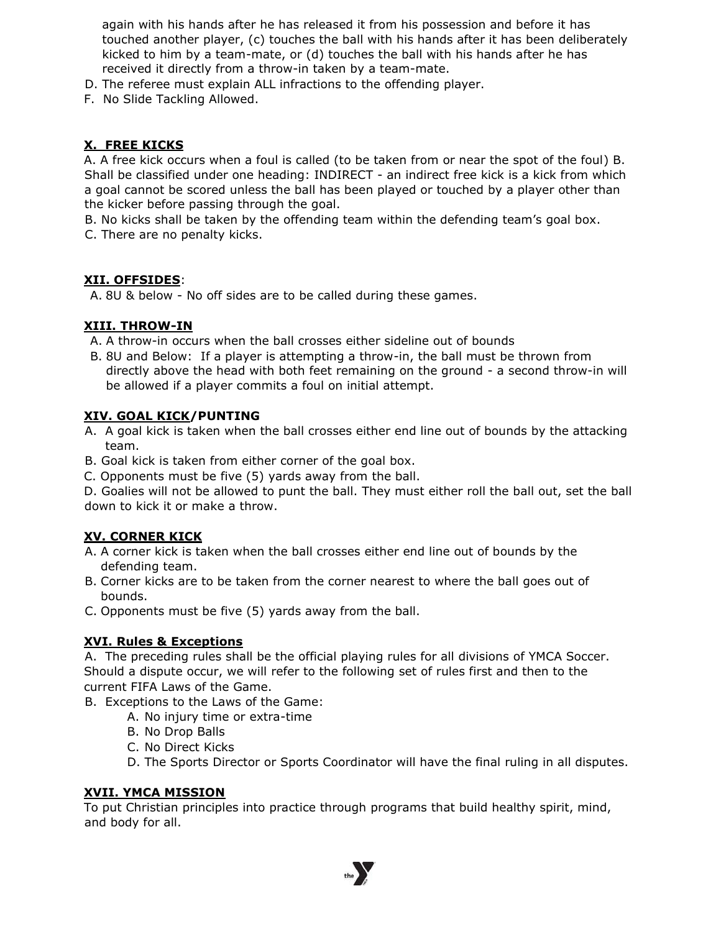again with his hands after he has released it from his possession and before it has touched another player, (c) touches the ball with his hands after it has been deliberately kicked to him by a team-mate, or (d) touches the ball with his hands after he has received it directly from a throw-in taken by a team-mate.

- D. The referee must explain ALL infractions to the offending player.
- F. No Slide Tackling Allowed.

## **X. FREE KICKS**

A. A free kick occurs when a foul is called (to be taken from or near the spot of the foul) B. Shall be classified under one heading: INDIRECT - an indirect free kick is a kick from which a goal cannot be scored unless the ball has been played or touched by a player other than the kicker before passing through the goal.

B. No kicks shall be taken by the offending team within the defending team's goal box. C. There are no penalty kicks.

#### **XII. OFFSIDES**:

A. 8U & below - No off sides are to be called during these games.

#### **XIII. THROW-IN**

- A. A throw-in occurs when the ball crosses either sideline out of bounds
- B. 8U and Below: If a player is attempting a throw-in, the ball must be thrown from directly above the head with both feet remaining on the ground - a second throw-in will be allowed if a player commits a foul on initial attempt.

#### **XIV. GOAL KICK/PUNTING**

- A. A goal kick is taken when the ball crosses either end line out of bounds by the attacking team.
- B. Goal kick is taken from either corner of the goal box.
- C. Opponents must be five (5) yards away from the ball.

D. Goalies will not be allowed to punt the ball. They must either roll the ball out, set the ball down to kick it or make a throw.

#### **XV. CORNER KICK**

- A. A corner kick is taken when the ball crosses either end line out of bounds by the defending team.
- B. Corner kicks are to be taken from the corner nearest to where the ball goes out of bounds.
- C. Opponents must be five (5) yards away from the ball.

#### **XVI. Rules & Exceptions**

A. The preceding rules shall be the official playing rules for all divisions of YMCA Soccer. Should a dispute occur, we will refer to the following set of rules first and then to the current FIFA Laws of the Game.

- B. Exceptions to the Laws of the Game:
	- A. No injury time or extra-time
	- B. No Drop Balls
	- C. No Direct Kicks
	- D. The Sports Director or Sports Coordinator will have the final ruling in all disputes.

#### **XVII. YMCA MISSION**

To put Christian principles into practice through programs that build healthy spirit, mind, and body for all.

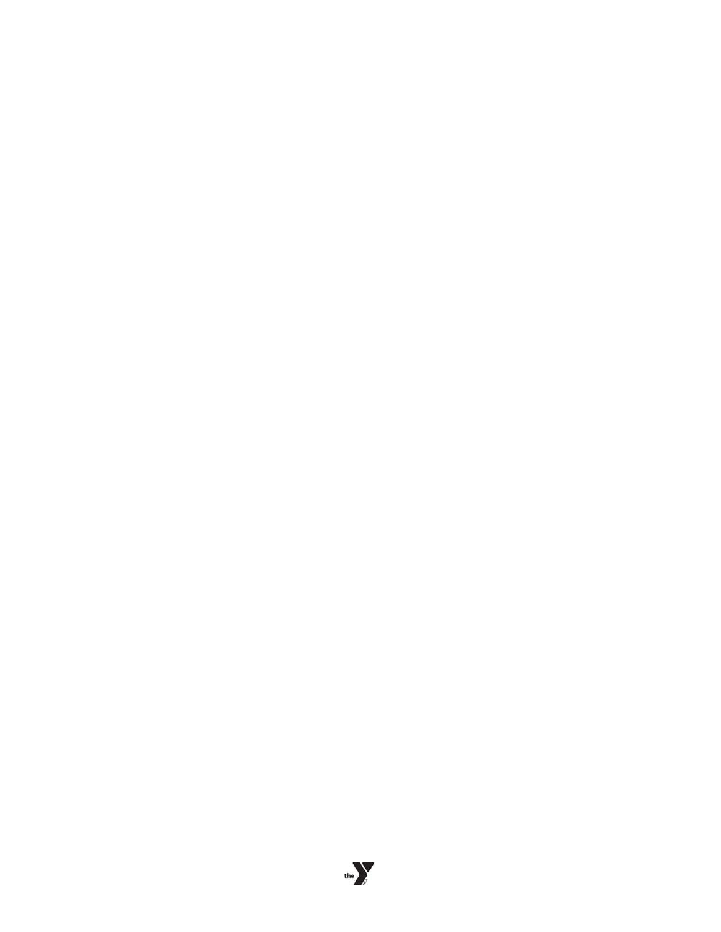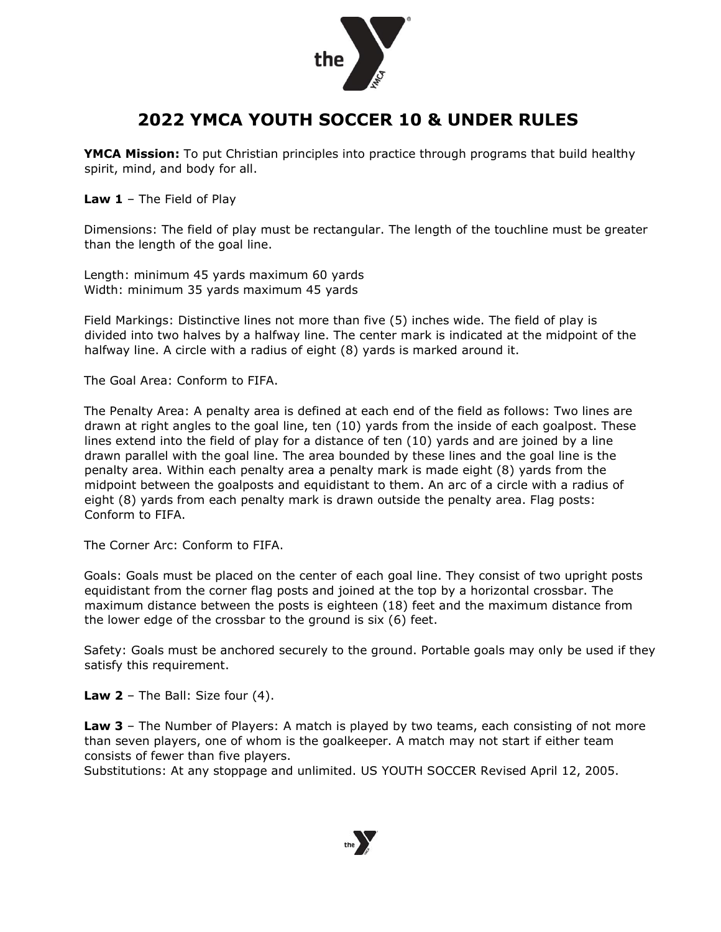

## **2022 YMCA YOUTH SOCCER 10 & UNDER RULES**

**YMCA Mission:** To put Christian principles into practice through programs that build healthy spirit, mind, and body for all.

**Law 1** – The Field of Play

Dimensions: The field of play must be rectangular. The length of the touchline must be greater than the length of the goal line.

Length: minimum 45 yards maximum 60 yards Width: minimum 35 yards maximum 45 yards

Field Markings: Distinctive lines not more than five (5) inches wide. The field of play is divided into two halves by a halfway line. The center mark is indicated at the midpoint of the halfway line. A circle with a radius of eight (8) yards is marked around it.

The Goal Area: Conform to FIFA.

The Penalty Area: A penalty area is defined at each end of the field as follows: Two lines are drawn at right angles to the goal line, ten (10) yards from the inside of each goalpost. These lines extend into the field of play for a distance of ten (10) yards and are joined by a line drawn parallel with the goal line. The area bounded by these lines and the goal line is the penalty area. Within each penalty area a penalty mark is made eight (8) yards from the midpoint between the goalposts and equidistant to them. An arc of a circle with a radius of eight (8) yards from each penalty mark is drawn outside the penalty area. Flag posts: Conform to FIFA.

The Corner Arc: Conform to FIFA.

Goals: Goals must be placed on the center of each goal line. They consist of two upright posts equidistant from the corner flag posts and joined at the top by a horizontal crossbar. The maximum distance between the posts is eighteen (18) feet and the maximum distance from the lower edge of the crossbar to the ground is six (6) feet.

Safety: Goals must be anchored securely to the ground. Portable goals may only be used if they satisfy this requirement.

**Law 2** – The Ball: Size four (4).

**Law 3** – The Number of Players: A match is played by two teams, each consisting of not more than seven players, one of whom is the goalkeeper. A match may not start if either team consists of fewer than five players.

Substitutions: At any stoppage and unlimited. US YOUTH SOCCER Revised April 12, 2005.

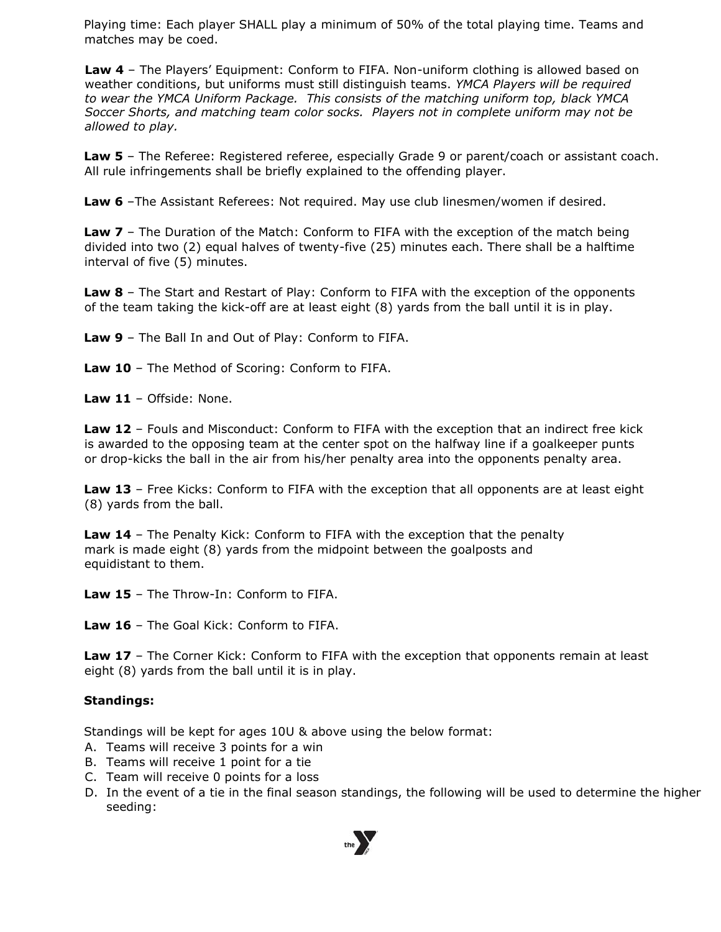Playing time: Each player SHALL play a minimum of 50% of the total playing time. Teams and matches may be coed.

**Law 4** – The Players' Equipment: Conform to FIFA. Non-uniform clothing is allowed based on weather conditions, but uniforms must still distinguish teams. *YMCA Players will be required to wear the YMCA Uniform Package. This consists of the matching uniform top, black YMCA Soccer Shorts, and matching team color socks. Players not in complete uniform may not be allowed to play.* 

**Law 5** – The Referee: Registered referee, especially Grade 9 or parent/coach or assistant coach. All rule infringements shall be briefly explained to the offending player.

**Law 6** –The Assistant Referees: Not required. May use club linesmen/women if desired.

**Law 7** – The Duration of the Match: Conform to FIFA with the exception of the match being divided into two (2) equal halves of twenty-five (25) minutes each. There shall be a halftime interval of five (5) minutes.

**Law 8** – The Start and Restart of Play: Conform to FIFA with the exception of the opponents of the team taking the kick-off are at least eight (8) yards from the ball until it is in play.

**Law 9** – The Ball In and Out of Play: Conform to FIFA.

**Law 10** – The Method of Scoring: Conform to FIFA.

**Law 11** – Offside: None.

**Law 12** – Fouls and Misconduct: Conform to FIFA with the exception that an indirect free kick is awarded to the opposing team at the center spot on the halfway line if a goalkeeper punts or drop-kicks the ball in the air from his/her penalty area into the opponents penalty area.

**Law 13** – Free Kicks: Conform to FIFA with the exception that all opponents are at least eight (8) yards from the ball.

**Law 14** – The Penalty Kick: Conform to FIFA with the exception that the penalty mark is made eight (8) yards from the midpoint between the goalposts and equidistant to them.

**Law 15** – The Throw-In: Conform to FIFA.

**Law 16** – The Goal Kick: Conform to FIFA.

**Law 17** – The Corner Kick: Conform to FIFA with the exception that opponents remain at least eight (8) yards from the ball until it is in play.

## **Standings:**

Standings will be kept for ages 10U & above using the below format:

- A. Teams will receive 3 points for a win
- B. Teams will receive 1 point for a tie
- C. Team will receive 0 points for a loss
- D. In the event of a tie in the final season standings, the following will be used to determine the higher seeding:

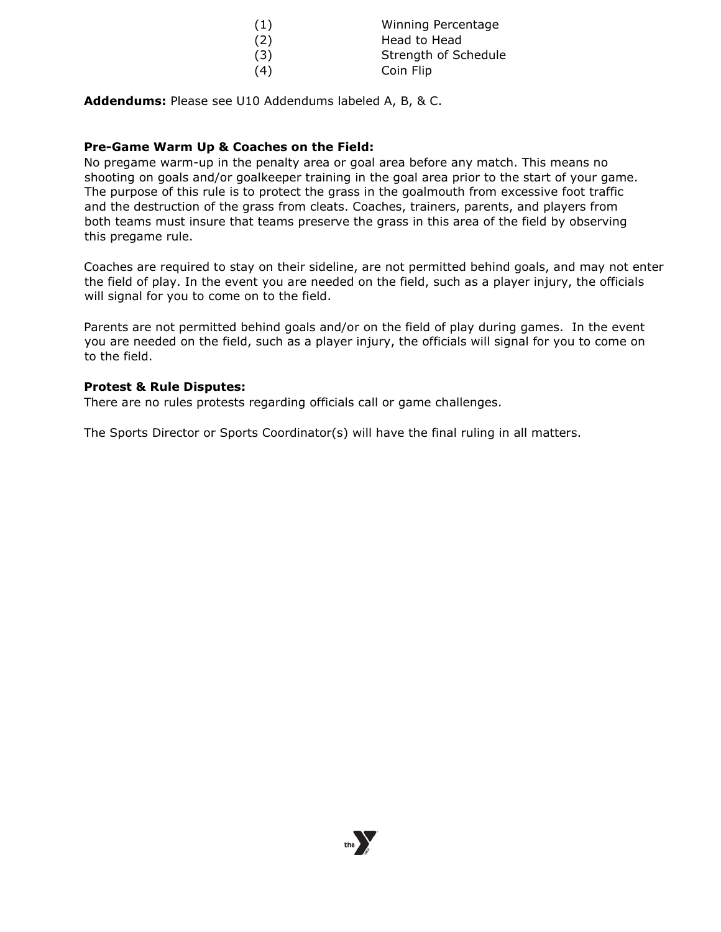| (1) | <b>Winning Percentage</b> |
|-----|---------------------------|
| (2) | Head to Head              |
| (3) | Strength of Schedule      |
| (4) | Coin Flip                 |

**Addendums:** Please see U10 Addendums labeled A, B, & C.

#### **Pre-Game Warm Up & Coaches on the Field:**

No pregame warm-up in the penalty area or goal area before any match. This means no shooting on goals and/or goalkeeper training in the goal area prior to the start of your game. The purpose of this rule is to protect the grass in the goalmouth from excessive foot traffic and the destruction of the grass from cleats. Coaches, trainers, parents, and players from both teams must insure that teams preserve the grass in this area of the field by observing this pregame rule.

Coaches are required to stay on their sideline, are not permitted behind goals, and may not enter the field of play. In the event you are needed on the field, such as a player injury, the officials will signal for you to come on to the field.

Parents are not permitted behind goals and/or on the field of play during games. In the event you are needed on the field, such as a player injury, the officials will signal for you to come on to the field.

#### **Protest & Rule Disputes:**

There are no rules protests regarding officials call or game challenges.

The Sports Director or Sports Coordinator(s) will have the final ruling in all matters.

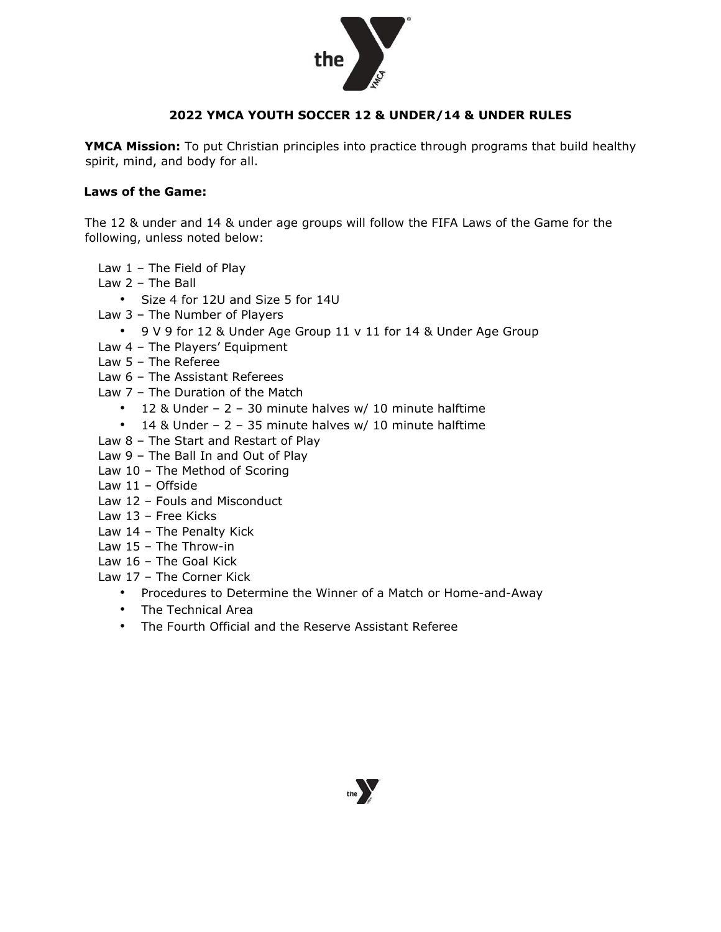

## **2022 YMCA YOUTH SOCCER 12 & UNDER/14 & UNDER RULES**

**YMCA Mission:** To put Christian principles into practice through programs that build healthy spirit, mind, and body for all.

#### **Laws of the Game:**

The 12 & under and 14 & under age groups will follow the FIFA Laws of the Game for the following, unless noted below:

- Law  $1$  The Field of Play
- Law 2 The Ball
	- Size 4 for 12U and Size 5 for 14U
- Law 3 The Number of Players
	- 9 V 9 for 12 & Under Age Group 11 v 11 for 14 & Under Age Group
- Law 4 The Players' Equipment
- Law 5 The Referee
- Law 6 The Assistant Referees
- Law 7 The Duration of the Match
	- 12 & Under 2 30 minute halves w/ 10 minute halftime
	- 14 & Under 2 35 minute halves w/ 10 minute halftime
- Law 8 The Start and Restart of Play
- Law 9 The Ball In and Out of Play
- Law 10 The Method of Scoring
- Law 11 Offside
- Law 12 Fouls and Misconduct
- Law 13 Free Kicks
- Law 14 The Penalty Kick
- Law 15 The Throw-in
- Law 16 The Goal Kick
- Law 17 The Corner Kick
	- Procedures to Determine the Winner of a Match or Home-and-Away
	- The Technical Area
	- The Fourth Official and the Reserve Assistant Referee